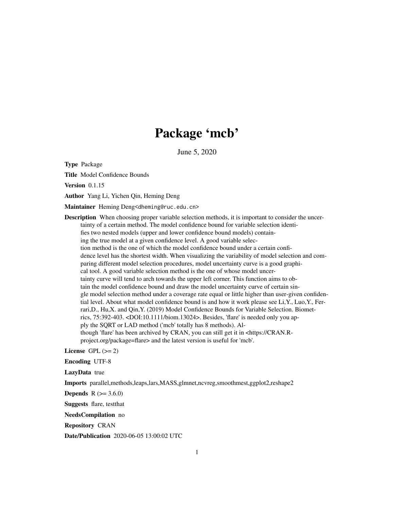# Package 'mcb'

June 5, 2020

Type Package

Title Model Confidence Bounds

Version 0.1.15

Author Yang Li, Yichen Qin, Heming Deng

Maintainer Heming Deng<dheming@ruc.edu.cn>

Description When choosing proper variable selection methods, it is important to consider the uncertainty of a certain method. The model confidence bound for variable selection identifies two nested models (upper and lower confidence bound models) containing the true model at a given confidence level. A good variable selection method is the one of which the model confidence bound under a certain confidence level has the shortest width. When visualizing the variability of model selection and comparing different model selection procedures, model uncertainty curve is a good graphical tool. A good variable selection method is the one of whose model uncertainty curve will tend to arch towards the upper left corner. This function aims to obtain the model confidence bound and draw the model uncertainty curve of certain single model selection method under a coverage rate equal or little higher than user-given confidential level. About what model confidence bound is and how it work please see Li,Y., Luo,Y., Ferrari,D., Hu,X. and Qin,Y. (2019) Model Confidence Bounds for Variable Selection. Biometrics, 75:392-403. <DOI:10.1111/biom.13024>. Besides, 'flare' is needed only you apply the SQRT or LAD method ('mcb' totally has 8 methods). Although 'flare' has been archived by CRAN, you can still get it in <https://CRAN.Rproject.org/package=flare> and the latest version is useful for 'mcb'.

License GPL  $(>= 2)$ 

Encoding UTF-8

LazyData true

Imports parallel,methods,leaps,lars,MASS,glmnet,ncvreg,smoothmest,ggplot2,reshape2

**Depends** R  $(>= 3.6.0)$ 

Suggests flare, testthat

NeedsCompilation no

Repository CRAN

Date/Publication 2020-06-05 13:00:02 UTC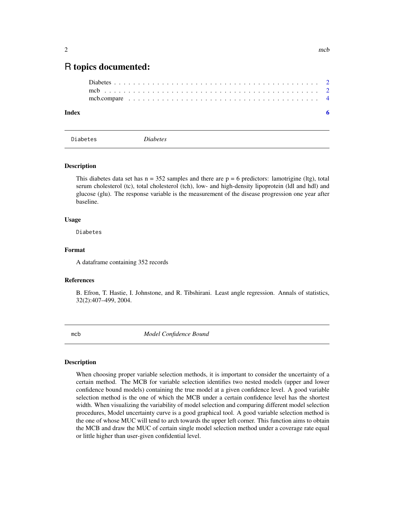# <span id="page-1-0"></span>R topics documented:

# **Index** [6](#page-5-0) **6**

Diabetes *Diabetes*

### Description

This diabetes data set has  $n = 352$  samples and there are  $p = 6$  predictors: lamotrigine (ltg), total serum cholesterol (tc), total cholesterol (tch), low- and high-density lipoprotein (ldl and hdl) and glucose (glu). The response variable is the measurement of the disease progression one year after baseline.

### Usage

Diabetes

#### Format

A dataframe containing 352 records

#### References

B. Efron, T. Hastie, I. Johnstone, and R. Tibshirani. Least angle regression. Annals of statistics, 32(2):407–499, 2004.

mcb *Model Confidence Bound*

#### **Description**

When choosing proper variable selection methods, it is important to consider the uncertainty of a certain method. The MCB for variable selection identifies two nested models (upper and lower confidence bound models) containing the true model at a given confidence level. A good variable selection method is the one of which the MCB under a certain confidence level has the shortest width. When visualizing the variability of model selection and comparing different model selection procedures, Model uncertainty curve is a good graphical tool. A good variable selection method is the one of whose MUC will tend to arch towards the upper left corner. This function aims to obtain the MCB and draw the MUC of certain single model selection method under a coverage rate equal or little higher than user-given confidential level.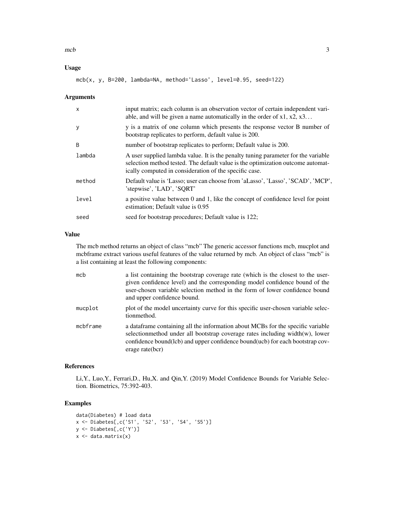$mcb$  3

# Usage

```
mcb(x, y, B=200, lambda=NA, method='Lasso', level=0.95, seed=122)
```
#### Arguments

| $\mathsf{x}$ | input matrix; each column is an observation vector of certain independent vari-<br>able, and will be given a name automatically in the order of $x1, x2, x3$                                                                   |
|--------------|--------------------------------------------------------------------------------------------------------------------------------------------------------------------------------------------------------------------------------|
| y            | y is a matrix of one column which presents the response vector B number of<br>bootstrap replicates to perform, default value is 200.                                                                                           |
| <sub>B</sub> | number of bootstrap replicates to perform; Default value is 200.                                                                                                                                                               |
| lambda       | A user supplied lambda value. It is the penalty tuning parameter for the variable<br>selection method tested. The default value is the optimization outcome automat-<br>ically computed in consideration of the specific case. |
| method       | Default value is 'Lasso; user can choose from 'aLasso', 'Lasso', 'SCAD', 'MCP',<br>'stepwise', 'LAD', 'SQRT'                                                                                                                   |
| level        | a positive value between 0 and 1, like the concept of confidence level for point<br>estimation; Default value is 0.95                                                                                                          |
| seed         | seed for bootstrap procedures; Default value is 122;                                                                                                                                                                           |

# Value

The mcb method returns an object of class "mcb" The generic accessor functions mcb, mucplot and mcbframe extract various useful features of the value returned by mcb. An object of class "mcb" is a list containing at least the following components:

| mcb      | a list containing the bootstrap coverage rate (which is the closest to the user-<br>given confidence level) and the corresponding model confidence bound of the<br>user-chosen variable selection method in the form of lower confidence bound<br>and upper confidence bound. |
|----------|-------------------------------------------------------------------------------------------------------------------------------------------------------------------------------------------------------------------------------------------------------------------------------|
| mucplot  | plot of the model uncertainty curve for this specific user-chosen variable selec-<br>tionmethod.                                                                                                                                                                              |
| mcbframe | a data frame containing all the information about MCBs for the specific variable<br>selectionmethod under all bootstrap coverage rates including width(w), lower<br>confidence bound(lcb) and upper confidence bound(ucb) for each bootstrap cov-<br>erage rate(bcr)          |

# References

Li,Y., Luo,Y., Ferrari,D., Hu,X. and Qin,Y. (2019) Model Confidence Bounds for Variable Selection. Biometrics, 75:392-403.

# Examples

```
data(Diabetes) # load data
x <- Diabetes[,c('S1', 'S2', 'S3', 'S4', 'S5')]
y <- Diabetes[,c('Y')]
x \leftarrow data.maxrix(x)
```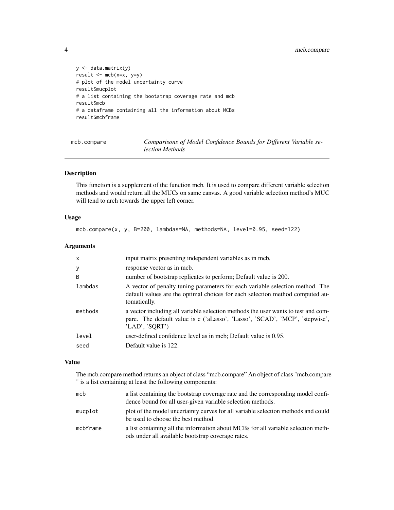```
y <- data.matrix(y)
result <- mcb(x=x, y=y)
# plot of the model uncertainty curve
result$mucplot
# a list containing the bootstrap coverage rate and mcb
result$mcb
# a dataframe containing all the information about MCBs
result$mcbframe
```
mcb.compare *Comparisons of Model Confidence Bounds for Different Variable selection Methods*

# Description

This function is a supplement of the function mcb. It is used to compare different variable selection methods and would return all the MUCs on same canvas. A good variable selection method's MUC will tend to arch towards the upper left corner.

#### Usage

mcb.compare(x, y, B=200, lambdas=NA, methods=NA, level=0.95, seed=122)

#### Arguments

| response vector as in mcb.<br>y                                                                                                                                                               |  |
|-----------------------------------------------------------------------------------------------------------------------------------------------------------------------------------------------|--|
|                                                                                                                                                                                               |  |
| B<br>number of bootstrap replicates to perform; Default value is 200.                                                                                                                         |  |
| lambdas<br>A vector of penalty tuning parameters for each variable selection method. The<br>default values are the optimal choices for each selection method computed au-<br>tomatically.     |  |
| methods<br>a vector including all variable selection methods the user wants to test and com-<br>pare. The default value is c ('aLasso', 'Lasso', 'SCAD', 'MCP', 'stepwise',<br>'LAD', 'SQRT') |  |
| level<br>user-defined confidence level as in mcb; Default value is 0.95.                                                                                                                      |  |
| Default value is 122.<br>seed                                                                                                                                                                 |  |

#### Value

The mcb.compare method returns an object of class "mcb.compare" An object of class "mcb.compare " is a list containing at least the following components:

| mcb      | a list containing the bootstrap coverage rate and the corresponding model confi-<br>dence bound for all user-given variable selection methods. |
|----------|------------------------------------------------------------------------------------------------------------------------------------------------|
| mucplot  | plot of the model uncertainty curves for all variable selection methods and could<br>be used to choose the best method.                        |
| mcbframe | a list containing all the information about MCBs for all variable selection meth-<br>ods under all available bootstrap coverage rates.         |

<span id="page-3-0"></span>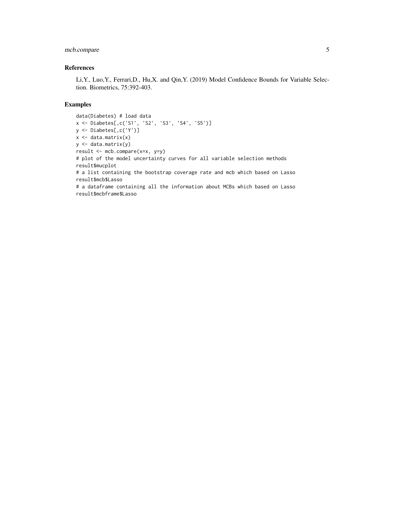# mcb.compare 5

## References

Li,Y., Luo,Y., Ferrari,D., Hu,X. and Qin,Y. (2019) Model Confidence Bounds for Variable Selection. Biometrics, 75:392-403.

# Examples

```
data(Diabetes) # load data
x <- Diabetes[,c('S1', 'S2', 'S3', 'S4', 'S5')]
y <- Diabetes[,c('Y')]
x \leftarrow data.maxrix(x)y <- data.matrix(y)
result <- mcb.compare(x=x, y=y)
# plot of the model uncertainty curves for all variable selection methods
result$mucplot
# a list containing the bootstrap coverage rate and mcb which based on Lasso
result$mcb$Lasso
# a dataframe containing all the information about MCBs which based on Lasso
result$mcbframe$Lasso
```